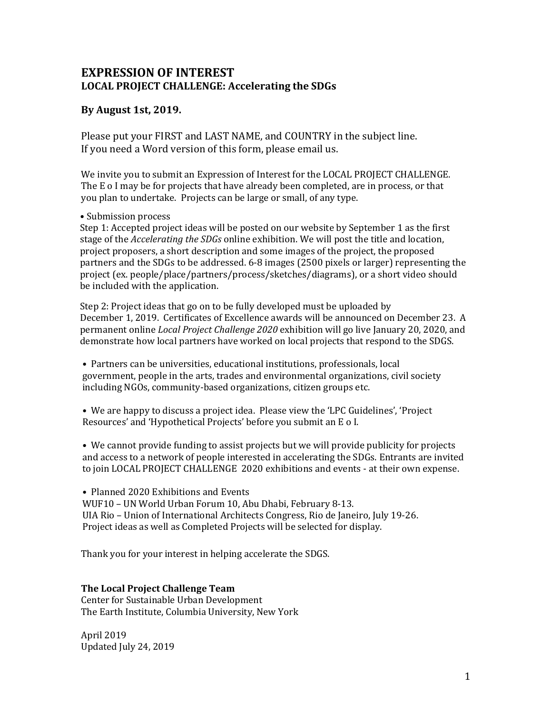## **EXPRESSION OF INTEREST LOCAL PROJECT CHALLENGE: Accelerating the SDGs**

### **By August 1st, 2019.**

Please put your FIRST and LAST NAME, and COUNTRY in the subject line. If you need a Word version of this form, please email us.

We invite you to submit an Expression of Interest for the LOCAL PROJECT CHALLENGE. The E o I may be for projects that have already been completed, are in process, or that you plan to undertake. Projects can be large or small, of any type.

### • Submission process

Step 1: Accepted project ideas will be posted on our website by September 1 as the first stage of the *Accelerating the SDGs* online exhibition. We will post the title and location, project proposers, a short description and some images of the project, the proposed partners and the SDGs to be addressed. 6-8 images (2500 pixels or larger) representing the project (ex. people/place/partners/process/sketches/diagrams), or a short video should be included with the application.

Step 2: Project ideas that go on to be fully developed must be uploaded by December 1, 2019. Certificates of Excellence awards will be announced on December 23. A permanent online *Local Project Challenge 2020* exhibition will go live January 20, 2020, and demonstrate how local partners have worked on local projects that respond to the SDGS.

• Partners can be universities, educational institutions, professionals, local government, people in the arts, trades and environmental organizations, civil society including NGOs, community-based organizations, citizen groups etc.

• We are happy to discuss a project idea. Please view the 'LPC Guidelines', 'Project Resources' and 'Hypothetical Projects' before you submit an E o I.

• We cannot provide funding to assist projects but we will provide publicity for projects and access to a network of people interested in accelerating the SDGs. Entrants are invited to join LOCAL PROJECT CHALLENGE 2020 exhibitions and events - at their own expense.

• Planned 2020 Exhibitions and Events WUF10 – UN World Urban Forum 10, Abu Dhabi, February 8-13. UIA Rio – Union of International Architects Congress, Rio de Janeiro, July 19-26. Project ideas as well as Completed Projects will be selected for display.

Thank you for your interest in helping accelerate the SDGS.

### **The Local Project Challenge Team**

Center for Sustainable Urban Development The Earth Institute, Columbia University, New York

April 2019 Updated July 24, 2019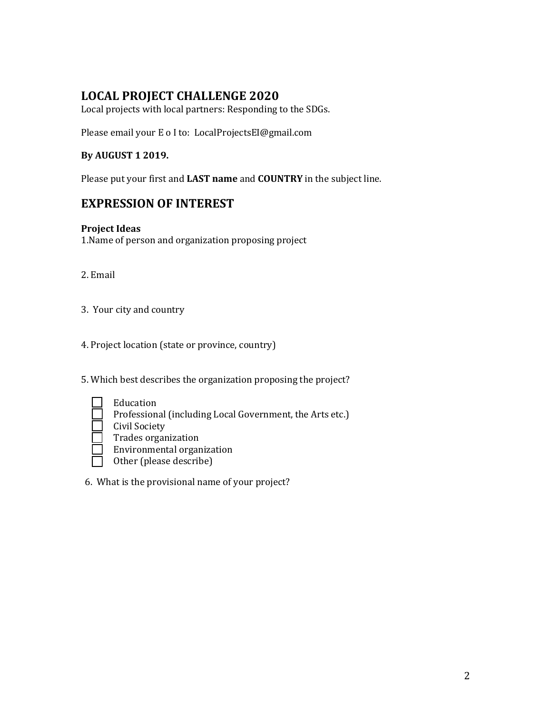# **LOCAL PROJECT CHALLENGE 2020**

Local projects with local partners: Responding to the SDGs.

Please email your E o I to: LocalProjectsEI@gmail.com

### **By AUGUST 1 2019.**

Please put your first and **LAST name** and **COUNTRY** in the subject line.

## **EXPRESSION OF INTEREST**

### **Project Ideas**

1.Name of person and organization proposing project

- 2. Email
- 3. Your city and country

4. Project location (state or province, country)

5. Which best describes the organization proposing the project?

- Education Professional (including Local Government, the Arts etc.) Civil Society Trades organization
	- Environmental organization
	- Other (please describe)
- 6. What is the provisional name of your project?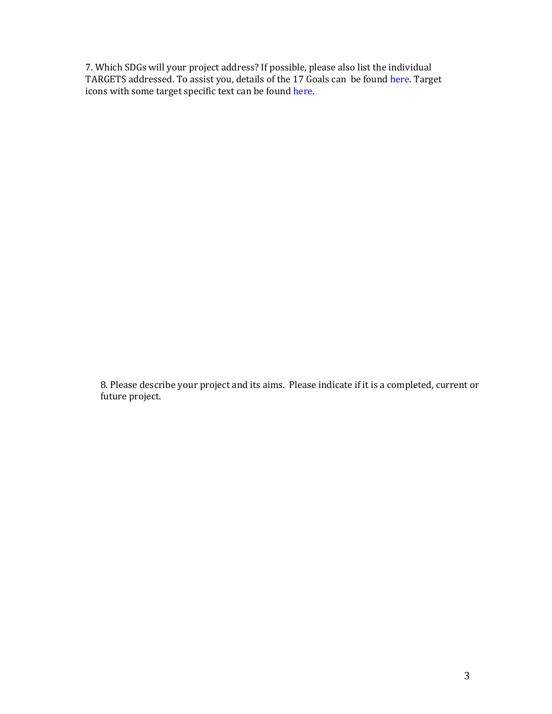7. Which SDGs will your project address? If possible, please also list the individual TARGETS addressed. To assist you, details of the 17 Goals can be found [here. Ta](https://www.un.org/sustainabledevelopment/sustainable-development-goals)rget icons with some target specific text can be found [here.](https://www.globalgoals.org/resources)

8. Please describe your project and its aims. Please indicate if it is a completed, current or future project.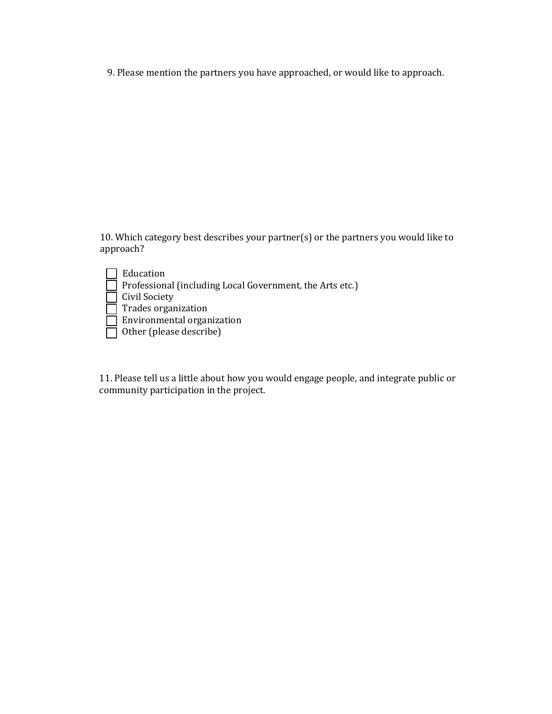9. Please mention the partners you have approached, or would like to approach.

10. Which category best describes your partner(s) or the partners you would like to approach?

| Education                                                       |
|-----------------------------------------------------------------|
| $\Box$ Professional (including Local Government, the Arts etc.) |
| $\Box$ Civil Society                                            |
| $\Box$ Trades organization                                      |
| $\Box$ Environmental organization                               |
| $\Box$ Other (please describe)                                  |

11. Please tell us a little about how you would engage people, and integrate public or community participation in the project.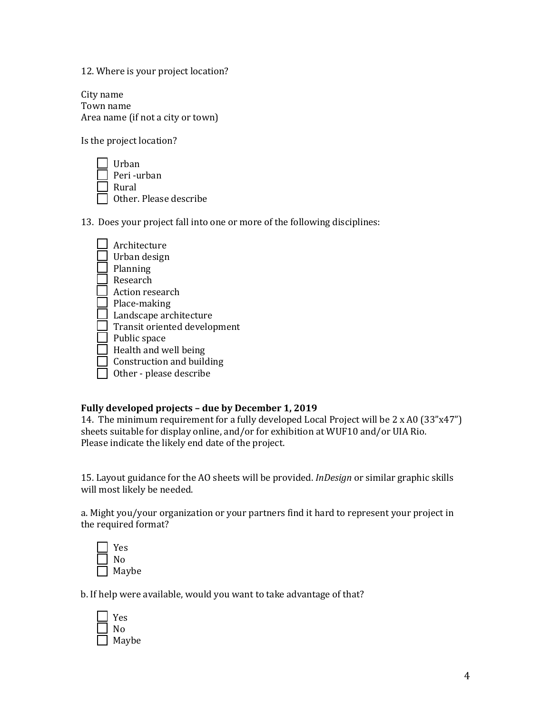12. Where is your project location?

City name Town name Area name (if not a city or town)

Is the project location?



13. Does your project fall into one or more of the following disciplines:

| Architecture                 |
|------------------------------|
| Urban design                 |
| Planning                     |
| Research                     |
| Action research              |
| Place-making                 |
| Landscape architecture       |
| Transit oriented development |
| Public space                 |
| Health and well being        |
| Construction and building    |
| Other - please describe      |

### **Fully developed projects – due by December 1, 2019**

14. The minimum requirement for a fully developed Local Project will be 2 x A0 (33"x47") sheets suitable for display online, and/or for exhibition at WUF10 and/or UIA Rio. Please indicate the likely end date of the project.

15. Layout guidance for the AO sheets will be provided. *InDesign* or similar graphic skills will most likely be needed.

a. Might you/your organization or your partners find it hard to represent your project in the required format?

| Yes   |
|-------|
| N٥    |
| Maybe |

b. If help were available, would you want to take advantage of that?

| Yes   |
|-------|
| N٥    |
| Maybe |